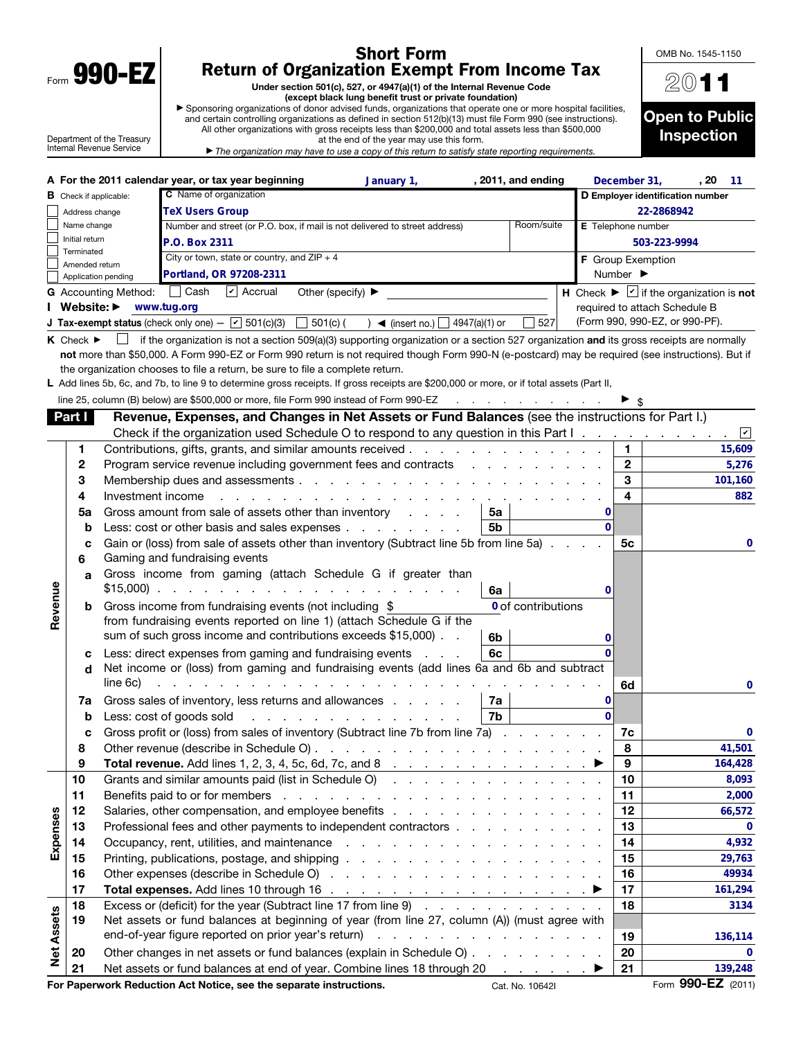| Form | <b>a</b><br>ч |  |
|------|---------------|--|
|      |               |  |

 $\mathbf{I}$ 

## Short Form Return of Organization Exempt From Income Tax

Under section 501(c), 527, or 4947(a)(1) of the Internal Revenue Code (except black lung benefit trust or private foundation)

▶ Sponsoring organizations of donor advised funds, organizations that operate one or more hospital facilities, and certain controlling organizations as defined in section 512(b)(13) must file Form 990 (see instructions). All other organizations with gross receipts less than \$200,000 and total assets less than \$500,000

Department of the Treasury Internal Revenue Service

| at the end of the year may use this form.                                                                             |
|-----------------------------------------------------------------------------------------------------------------------|
| $\blacktriangleright$ The organization may have to use a copy of this return to satisfy state reporting requirements. |

| 2011                                |
|-------------------------------------|
| <b>Open to Public</b><br>Inspection |

OMB No. 1545-1150

|                               |                                 |                                                                                                                                                                                                                                | A For the 2011 calendar year, or tax year beginning                                                                                                | January 1,                                               | , 2011, and ending                                             |          | December 31,              | , 20                                                             | 11      |  |  |
|-------------------------------|---------------------------------|--------------------------------------------------------------------------------------------------------------------------------------------------------------------------------------------------------------------------------|----------------------------------------------------------------------------------------------------------------------------------------------------|----------------------------------------------------------|----------------------------------------------------------------|----------|---------------------------|------------------------------------------------------------------|---------|--|--|
| <b>B</b> Check if applicable: |                                 |                                                                                                                                                                                                                                | C Name of organization                                                                                                                             |                                                          |                                                                |          |                           | D Employer identification number                                 |         |  |  |
|                               | Address change                  | <b>TeX Users Group</b>                                                                                                                                                                                                         |                                                                                                                                                    |                                                          |                                                                |          | 22-2868942                |                                                                  |         |  |  |
|                               | Name change                     |                                                                                                                                                                                                                                | Number and street (or P.O. box, if mail is not delivered to street address)                                                                        |                                                          | Room/suite                                                     |          | <b>E</b> Telephone number |                                                                  |         |  |  |
|                               | Initial return<br>Terminated    |                                                                                                                                                                                                                                | P.O. Box 2311                                                                                                                                      |                                                          |                                                                |          |                           | 503-223-9994                                                     |         |  |  |
|                               | Amended return                  |                                                                                                                                                                                                                                | City or town, state or country, and $ZIP + 4$                                                                                                      |                                                          |                                                                |          | F Group Exemption         |                                                                  |         |  |  |
|                               |                                 | Application pending                                                                                                                                                                                                            | Portland, OR 97208-2311                                                                                                                            |                                                          |                                                                |          | Number ▶                  |                                                                  |         |  |  |
|                               |                                 | G Accounting Method: $\Box$ Cash                                                                                                                                                                                               | $\triangleright$ Accrual<br>Other (specify) ▶                                                                                                      |                                                          |                                                                |          |                           | H Check $\blacktriangleright \square$ if the organization is not |         |  |  |
|                               | Website: $\blacktriangleright$  |                                                                                                                                                                                                                                | www.tug.org                                                                                                                                        |                                                          |                                                                |          |                           | required to attach Schedule B                                    |         |  |  |
|                               |                                 |                                                                                                                                                                                                                                | <b>J Tax-exempt status</b> (check only one) $ \boxed{\mathbf{v}}$ 501(c)(3)<br>501(c)(                                                             | ) $\blacktriangleleft$ (insert no.) $\Box$ 4947(a)(1) or | 527                                                            |          |                           | (Form 990, 990-EZ, or 990-PF).                                   |         |  |  |
|                               | $K$ Check $\blacktriangleright$ | $\mathsf{L}$                                                                                                                                                                                                                   | if the organization is not a section 509(a)(3) supporting organization or a section 527 organization and its gross receipts are normally           |                                                          |                                                                |          |                           |                                                                  |         |  |  |
|                               |                                 |                                                                                                                                                                                                                                | not more than \$50,000. A Form 990-EZ or Form 990 return is not required though Form 990-N (e-postcard) may be required (see instructions). But if |                                                          |                                                                |          |                           |                                                                  |         |  |  |
|                               |                                 |                                                                                                                                                                                                                                | the organization chooses to file a return, be sure to file a complete return.                                                                      |                                                          |                                                                |          |                           |                                                                  |         |  |  |
|                               |                                 |                                                                                                                                                                                                                                | L Add lines 5b, 6c, and 7b, to line 9 to determine gross receipts. If gross receipts are \$200,000 or more, or if total assets (Part II,           |                                                          |                                                                |          |                           |                                                                  |         |  |  |
|                               |                                 |                                                                                                                                                                                                                                | line 25, column (B) below) are \$500,000 or more, file Form 990 instead of Form 990-EZ                                                             |                                                          | $\mathcal{A}$ . The set of the set of the set of $\mathcal{A}$ |          |                           |                                                                  |         |  |  |
|                               | Part I                          |                                                                                                                                                                                                                                | Revenue, Expenses, and Changes in Net Assets or Fund Balances (see the instructions for Part I.)                                                   |                                                          |                                                                |          |                           |                                                                  |         |  |  |
|                               |                                 |                                                                                                                                                                                                                                | Check if the organization used Schedule O to respond to any question in this Part I.                                                               |                                                          |                                                                |          |                           |                                                                  | ☑       |  |  |
|                               | 1                               |                                                                                                                                                                                                                                |                                                                                                                                                    |                                                          |                                                                |          | $\mathbf{1}$              |                                                                  | 15,609  |  |  |
|                               | $\mathbf{2}$                    |                                                                                                                                                                                                                                | Program service revenue including government fees and contracts                                                                                    |                                                          |                                                                |          | $\mathbf{2}$              |                                                                  | 5,276   |  |  |
|                               | 3                               |                                                                                                                                                                                                                                |                                                                                                                                                    |                                                          |                                                                |          | 3                         |                                                                  | 101,160 |  |  |
|                               | 4                               | Investment income                                                                                                                                                                                                              |                                                                                                                                                    |                                                          |                                                                |          | 4                         |                                                                  | 882     |  |  |
|                               | 5a                              |                                                                                                                                                                                                                                | Gross amount from sale of assets other than inventory                                                                                              |                                                          | 5a                                                             | 0        |                           |                                                                  |         |  |  |
|                               | $\mathbf b$                     |                                                                                                                                                                                                                                | Less: cost or other basis and sales expenses                                                                                                       |                                                          | 5 <sub>b</sub>                                                 | $\Omega$ |                           |                                                                  |         |  |  |
|                               | с<br>6                          |                                                                                                                                                                                                                                | Gain or (loss) from sale of assets other than inventory (Subtract line 5b from line 5a)<br>Gaming and fundraising events                           |                                                          |                                                                |          | 5 <sub>c</sub>            |                                                                  | 0       |  |  |
|                               |                                 |                                                                                                                                                                                                                                | Gross income from gaming (attach Schedule G if greater than                                                                                        |                                                          |                                                                |          |                           |                                                                  |         |  |  |
|                               | a                               |                                                                                                                                                                                                                                |                                                                                                                                                    |                                                          | 6a                                                             | 0        |                           |                                                                  |         |  |  |
|                               | b                               |                                                                                                                                                                                                                                | Gross income from fundraising events (not including \$                                                                                             |                                                          | 0 of contributions                                             |          |                           |                                                                  |         |  |  |
| Revenue                       |                                 |                                                                                                                                                                                                                                | from fundraising events reported on line 1) (attach Schedule G if the                                                                              |                                                          |                                                                |          |                           |                                                                  |         |  |  |
|                               |                                 |                                                                                                                                                                                                                                | sum of such gross income and contributions exceeds \$15,000).                                                                                      |                                                          | 6b                                                             | 0        |                           |                                                                  |         |  |  |
|                               | c                               |                                                                                                                                                                                                                                | Less: direct expenses from gaming and fundraising events                                                                                           |                                                          | 6c                                                             | 0        |                           |                                                                  |         |  |  |
|                               | d                               |                                                                                                                                                                                                                                | Net income or (loss) from gaming and fundraising events (add lines 6a and 6b and subtract                                                          |                                                          |                                                                |          |                           |                                                                  |         |  |  |
|                               |                                 | line 6c)                                                                                                                                                                                                                       | de la casa de la casa de la casa de la casa de la casa                                                                                             |                                                          |                                                                |          | 6d                        |                                                                  | 0       |  |  |
|                               | 7a                              |                                                                                                                                                                                                                                | Gross sales of inventory, less returns and allowances                                                                                              |                                                          | 7a                                                             | 0        |                           |                                                                  |         |  |  |
|                               | b                               |                                                                                                                                                                                                                                | Less: cost of goods sold                                                                                                                           |                                                          | 7b                                                             | $\Omega$ |                           |                                                                  |         |  |  |
|                               | c                               |                                                                                                                                                                                                                                | Gross profit or (loss) from sales of inventory (Subtract line 7b from line 7a)                                                                     |                                                          |                                                                |          | 7c                        |                                                                  | 0       |  |  |
|                               | 8                               |                                                                                                                                                                                                                                |                                                                                                                                                    |                                                          |                                                                |          | 8                         |                                                                  | 41,501  |  |  |
|                               | 9                               |                                                                                                                                                                                                                                | <b>Total revenue.</b> Add lines 1, 2, 3, 4, 5c, 6d, 7c, and 8 $\ldots$                                                                             |                                                          |                                                                |          | 9                         |                                                                  | 164,428 |  |  |
|                               | 10                              |                                                                                                                                                                                                                                | Grants and similar amounts paid (list in Schedule O)                                                                                               |                                                          |                                                                |          | 10                        |                                                                  | 8,093   |  |  |
|                               | 11                              |                                                                                                                                                                                                                                |                                                                                                                                                    |                                                          |                                                                |          | 11                        |                                                                  | 2,000   |  |  |
|                               | 12                              |                                                                                                                                                                                                                                |                                                                                                                                                    |                                                          |                                                                |          | 12                        |                                                                  | 66,572  |  |  |
| Expenses                      | 13                              |                                                                                                                                                                                                                                | Professional fees and other payments to independent contractors                                                                                    |                                                          |                                                                |          |                           |                                                                  | 0       |  |  |
|                               | 14                              | Occupancy, rent, utilities, and maintenance response to the contract of the contract of the contract of the contract of the contract of the contract of the contract of the contract of the contract of the contract of the co |                                                                                                                                                    |                                                          |                                                                |          | 14                        |                                                                  | 4,932   |  |  |
|                               | 15                              |                                                                                                                                                                                                                                |                                                                                                                                                    |                                                          |                                                                |          | 15                        |                                                                  | 29,763  |  |  |
|                               | 16                              |                                                                                                                                                                                                                                |                                                                                                                                                    |                                                          |                                                                |          | 16                        |                                                                  | 49934   |  |  |
|                               | 17                              |                                                                                                                                                                                                                                | Total expenses. Add lines 10 through 16 $\ldots$ $\ldots$ $\ldots$ $\ldots$ $\ldots$ $\ldots$ $\ldots$                                             |                                                          |                                                                |          | 17                        |                                                                  | 161,294 |  |  |
|                               | 18                              |                                                                                                                                                                                                                                | Excess or (deficit) for the year (Subtract line 17 from line 9)                                                                                    |                                                          |                                                                |          | 18                        |                                                                  | 3134    |  |  |
|                               | 19                              |                                                                                                                                                                                                                                | Net assets or fund balances at beginning of year (from line 27, column (A)) (must agree with                                                       |                                                          |                                                                |          |                           |                                                                  |         |  |  |
|                               |                                 |                                                                                                                                                                                                                                |                                                                                                                                                    |                                                          |                                                                |          | 19                        |                                                                  | 136,114 |  |  |
| <b>Net Assets</b>             | 20                              |                                                                                                                                                                                                                                | Other changes in net assets or fund balances (explain in Schedule O)                                                                               |                                                          |                                                                |          | 20                        |                                                                  | 0       |  |  |
|                               | 21                              |                                                                                                                                                                                                                                | Net assets or fund balances at end of year. Combine lines 18 through 20 ▶                                                                          |                                                          |                                                                |          | 21                        |                                                                  | 139,248 |  |  |
|                               |                                 |                                                                                                                                                                                                                                | For Paperwork Reduction Act Notice, see the separate instructions.                                                                                 |                                                          | Cat. No. 10642I                                                |          |                           | Form 990-EZ (2011)                                               |         |  |  |

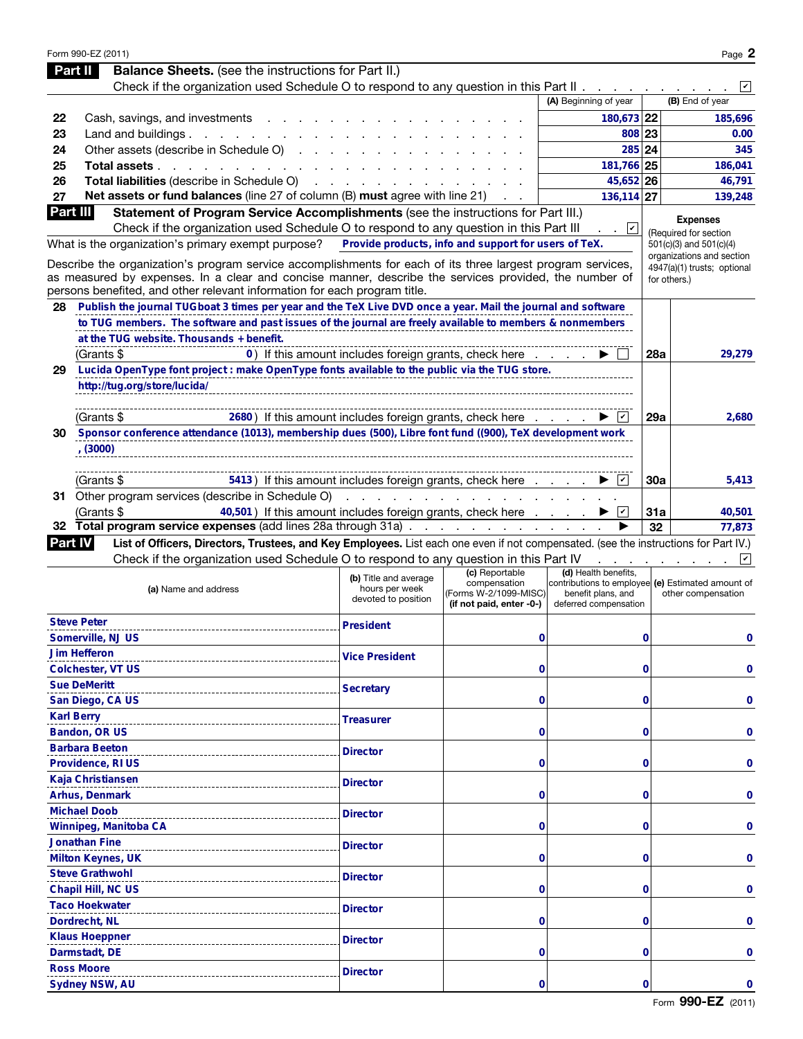|                | Form 990-EZ (2011)                                                                                                                                                                                                   |                                                                |                                                                   |                                                                                                  |           | Page 2                                                                   |
|----------------|----------------------------------------------------------------------------------------------------------------------------------------------------------------------------------------------------------------------|----------------------------------------------------------------|-------------------------------------------------------------------|--------------------------------------------------------------------------------------------------|-----------|--------------------------------------------------------------------------|
|                | <b>Balance Sheets.</b> (see the instructions for Part II.)<br>Part II                                                                                                                                                |                                                                |                                                                   |                                                                                                  |           |                                                                          |
|                | Check if the organization used Schedule O to respond to any question in this Part II.                                                                                                                                |                                                                |                                                                   |                                                                                                  |           | $ \mathbf{v} $                                                           |
|                |                                                                                                                                                                                                                      |                                                                |                                                                   | (A) Beginning of year                                                                            |           | (B) End of year                                                          |
| 22             | Cash, savings, and investments                                                                                                                                                                                       |                                                                |                                                                   | 180,673 22                                                                                       |           | 185,696                                                                  |
| 23             | Land and buildings.<br>and the contract of the con-                                                                                                                                                                  |                                                                |                                                                   | 808 23                                                                                           |           | 0.00                                                                     |
| 24             | Other assets (describe in Schedule O)                                                                                                                                                                                |                                                                |                                                                   | 285 24                                                                                           |           | 345                                                                      |
| 25             | Total assets<br>and a state of the state of the                                                                                                                                                                      |                                                                |                                                                   | 181,766 25                                                                                       |           | 186,041                                                                  |
| 26             | Total liabilities (describe in Schedule O)                                                                                                                                                                           |                                                                |                                                                   | 45,652 26                                                                                        |           | 46,791                                                                   |
| 27             | Net assets or fund balances (line 27 of column (B) must agree with line 21)                                                                                                                                          |                                                                |                                                                   | 136,114 27                                                                                       |           | 139,248                                                                  |
| Part III       | Statement of Program Service Accomplishments (see the instructions for Part III.)                                                                                                                                    |                                                                |                                                                   |                                                                                                  |           | <b>Expenses</b>                                                          |
|                | Check if the organization used Schedule O to respond to any question in this Part III                                                                                                                                |                                                                |                                                                   | ⊻<br>$\sim$                                                                                      |           | (Required for section                                                    |
|                | What is the organization's primary exempt purpose?                                                                                                                                                                   | Provide products, info and support for users of TeX.           |                                                                   |                                                                                                  |           | 501(c)(3) and 501(c)(4)                                                  |
|                | Describe the organization's program service accomplishments for each of its three largest program services,<br>as measured by expenses. In a clear and concise manner, describe the services provided, the number of |                                                                |                                                                   |                                                                                                  |           | organizations and section<br>4947(a)(1) trusts; optional<br>for others.) |
|                | persons benefited, and other relevant information for each program title.                                                                                                                                            |                                                                |                                                                   |                                                                                                  |           |                                                                          |
| 28             | Publish the journal TUGboat 3 times per year and the TeX Live DVD once a year. Mail the journal and software                                                                                                         |                                                                |                                                                   |                                                                                                  |           |                                                                          |
|                | to TUG members. The software and past issues of the journal are freely available to members & nonmembers                                                                                                             |                                                                |                                                                   |                                                                                                  |           |                                                                          |
|                | at the TUG website. Thousands + benefit.                                                                                                                                                                             |                                                                |                                                                   |                                                                                                  |           |                                                                          |
|                | (Grants \$                                                                                                                                                                                                           | 0) If this amount includes foreign grants, check here          |                                                                   |                                                                                                  | 28a       | 29,279                                                                   |
| 29             | Lucida OpenType font project : make OpenType fonts available to the public via the TUG store.                                                                                                                        |                                                                |                                                                   |                                                                                                  |           |                                                                          |
|                | http://tug.org/store/lucida/                                                                                                                                                                                         |                                                                |                                                                   |                                                                                                  |           |                                                                          |
|                |                                                                                                                                                                                                                      |                                                                |                                                                   |                                                                                                  |           |                                                                          |
|                | 2680) If this amount includes foreign grants, check here<br>(Grants \$                                                                                                                                               |                                                                |                                                                   | $ \boldsymbol{v} $                                                                               | 29a       | 2,680                                                                    |
| 30             | Sponsor conference attendance (1013), membership dues (500), Libre font fund ((900), TeX development work                                                                                                            |                                                                |                                                                   |                                                                                                  |           |                                                                          |
|                | (3000)                                                                                                                                                                                                               |                                                                |                                                                   |                                                                                                  |           |                                                                          |
|                |                                                                                                                                                                                                                      |                                                                |                                                                   |                                                                                                  |           |                                                                          |
|                | 5413) If this amount includes foreign grants, check here<br>(Grants \$                                                                                                                                               |                                                                |                                                                   | $ \boldsymbol{v} $                                                                               | 30a       | 5,413                                                                    |
|                | 31 Other program services (describe in Schedule O)                                                                                                                                                                   | and a state of the state of the                                |                                                                   |                                                                                                  |           |                                                                          |
|                | 40,501) If this amount includes foreign grants, check here<br>(Grants \$<br>32 Total program service expenses (add lines 28a through 31a).                                                                           |                                                                |                                                                   | $ \boldsymbol{v} $                                                                               | 31a<br>32 | 40,501<br>77,873                                                         |
| <b>Part IV</b> | List of Officers, Directors, Trustees, and Key Employees. List each one even if not compensated. (see the instructions for Part IV.)                                                                                 |                                                                | the contract of the contract of the con-                          |                                                                                                  |           |                                                                          |
|                | Check if the organization used Schedule O to respond to any question in this Part IV                                                                                                                                 |                                                                |                                                                   |                                                                                                  |           | $\vert\mathbf{v}\vert$                                                   |
|                |                                                                                                                                                                                                                      |                                                                | (c) Reportable                                                    | (d) Health benefits,                                                                             |           |                                                                          |
|                | (a) Name and address                                                                                                                                                                                                 | (b) Title and average<br>hours per week<br>devoted to position | compensation<br>(Forms W-2/1099-MISC)<br>(if not paid, enter -0-) | contributions to employee (e) Estimated amount of<br>benefit plans, and<br>deferred compensation |           | other compensation                                                       |
|                | <b>Steve Peter</b>                                                                                                                                                                                                   | <b>President</b>                                               |                                                                   |                                                                                                  |           |                                                                          |
|                | Somerville, NJ US                                                                                                                                                                                                    |                                                                | 0                                                                 |                                                                                                  | 0         | 0                                                                        |
|                | <b>Jim Hefferon</b>                                                                                                                                                                                                  | <b>Vice President</b>                                          |                                                                   |                                                                                                  |           |                                                                          |
|                | <b>Colchester, VT US</b>                                                                                                                                                                                             |                                                                | 0                                                                 |                                                                                                  | 0         | 0                                                                        |
|                | <b>Sue DeMeritt</b>                                                                                                                                                                                                  | <b>Secretary</b>                                               |                                                                   |                                                                                                  |           |                                                                          |
|                | San Diego, CA US                                                                                                                                                                                                     |                                                                | 0                                                                 |                                                                                                  | 0         | 0                                                                        |
|                | <b>Karl Berry</b>                                                                                                                                                                                                    | <b>Treasurer</b>                                               |                                                                   |                                                                                                  |           |                                                                          |
|                | Bandon, OR US                                                                                                                                                                                                        |                                                                | 0                                                                 |                                                                                                  | 0         | 0                                                                        |
|                | <b>Barbara Beeton</b>                                                                                                                                                                                                | <b>Director</b>                                                |                                                                   |                                                                                                  |           |                                                                          |
|                | Providence, RI US                                                                                                                                                                                                    |                                                                | 0                                                                 |                                                                                                  | 0         | 0                                                                        |
|                | Kaja Christiansen                                                                                                                                                                                                    | <b>Director</b>                                                |                                                                   |                                                                                                  |           |                                                                          |
|                | Arhus, Denmark                                                                                                                                                                                                       |                                                                | 0                                                                 |                                                                                                  | 0         | 0                                                                        |
|                | <b>Michael Doob</b>                                                                                                                                                                                                  | <b>Director</b>                                                |                                                                   |                                                                                                  |           |                                                                          |
|                | Winnipeg, Manitoba CA                                                                                                                                                                                                |                                                                | 0                                                                 |                                                                                                  | 0         | 0                                                                        |
|                | <b>Jonathan Fine</b>                                                                                                                                                                                                 | <b>Director</b>                                                |                                                                   |                                                                                                  |           |                                                                          |
|                | <b>Milton Keynes, UK</b>                                                                                                                                                                                             |                                                                | 0                                                                 |                                                                                                  | 0         | 0                                                                        |
|                | <b>Steve Grathwohl</b>                                                                                                                                                                                               | <b>Director</b>                                                |                                                                   |                                                                                                  |           |                                                                          |
|                | Chapil Hill, NC US                                                                                                                                                                                                   |                                                                | 0                                                                 |                                                                                                  | 0         | 0                                                                        |
|                | <b>Taco Hoekwater</b>                                                                                                                                                                                                | <b>Director</b>                                                |                                                                   |                                                                                                  |           |                                                                          |
|                | Dordrecht, NL                                                                                                                                                                                                        |                                                                | 0                                                                 |                                                                                                  | 0         | 0                                                                        |
|                | <b>Klaus Hoeppner</b>                                                                                                                                                                                                | <b>Director</b>                                                |                                                                   |                                                                                                  |           |                                                                          |
|                | Darmstadt, DE                                                                                                                                                                                                        |                                                                | 0                                                                 |                                                                                                  | 0         | 0                                                                        |
|                | <b>Ross Moore</b>                                                                                                                                                                                                    | <b>Director</b>                                                |                                                                   |                                                                                                  |           |                                                                          |
|                | Sydney NSW, AU                                                                                                                                                                                                       |                                                                | 0                                                                 |                                                                                                  | 0         | 0                                                                        |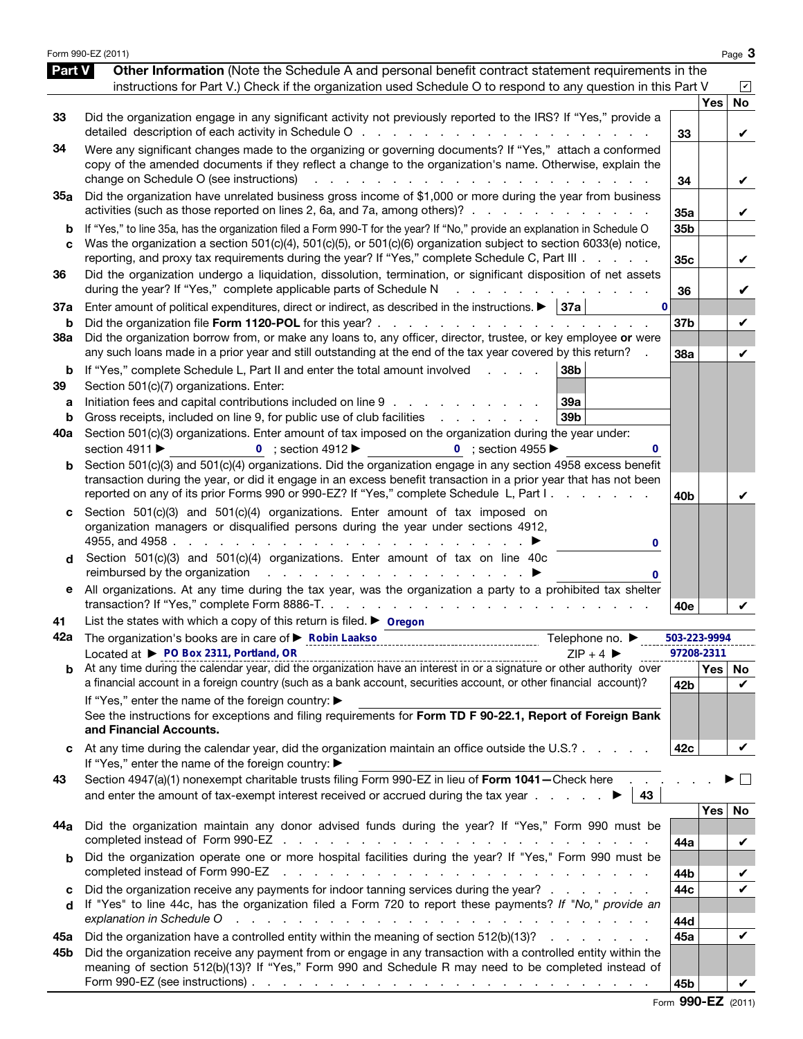|                   | Form 990-EZ (2011)                                                                                                                                                                                                                                                                                                                                                                                                                                                      |                                    |            | Page 3         |
|-------------------|-------------------------------------------------------------------------------------------------------------------------------------------------------------------------------------------------------------------------------------------------------------------------------------------------------------------------------------------------------------------------------------------------------------------------------------------------------------------------|------------------------------------|------------|----------------|
| <b>Part V</b>     | Other Information (Note the Schedule A and personal benefit contract statement requirements in the<br>instructions for Part V.) Check if the organization used Schedule O to respond to any question in this Part V                                                                                                                                                                                                                                                     |                                    |            | $ \mathbf{v} $ |
| 33                | Did the organization engage in any significant activity not previously reported to the IRS? If "Yes," provide a<br>detailed description of each activity in Schedule O                                                                                                                                                                                                                                                                                                  | 33                                 | <b>Yes</b> | <b>No</b><br>V |
| 34                | Were any significant changes made to the organizing or governing documents? If "Yes," attach a conformed<br>copy of the amended documents if they reflect a change to the organization's name. Otherwise, explain the<br>change on Schedule O (see instructions)<br>and the company of the company of the<br>$\mathbf{1}$                                                                                                                                               | 34                                 |            | V              |
| 35a               | Did the organization have unrelated business gross income of \$1,000 or more during the year from business<br>activities (such as those reported on lines 2, 6a, and 7a, among others)?                                                                                                                                                                                                                                                                                 | 35a                                |            | V              |
| b<br>C            | If "Yes," to line 35a, has the organization filed a Form 990-T for the year? If "No," provide an explanation in Schedule O<br>Was the organization a section 501(c)(4), 501(c)(5), or 501(c)(6) organization subject to section 6033(e) notice,<br>reporting, and proxy tax requirements during the year? If "Yes," complete Schedule C, Part III                                                                                                                       | 35 <sub>b</sub><br>35 <sub>c</sub> |            | V              |
| 36                | Did the organization undergo a liquidation, dissolution, termination, or significant disposition of net assets<br>during the year? If "Yes," complete applicable parts of Schedule N<br>and a straight and a straight and                                                                                                                                                                                                                                               | 36                                 |            | V              |
| 37a<br>b          | Enter amount of political expenditures, direct or indirect, as described in the instructions. $\blacktriangleright$   37a  <br>0<br>Did the organization file Form 1120-POL for this year?                                                                                                                                                                                                                                                                              | 37 <sub>b</sub>                    |            | V              |
| 38a               | Did the organization borrow from, or make any loans to, any officer, director, trustee, or key employee or were<br>any such loans made in a prior year and still outstanding at the end of the tax year covered by this return?                                                                                                                                                                                                                                         | 38a                                |            | V              |
| b<br>39<br>а<br>b | If "Yes," complete Schedule L, Part II and enter the total amount involved<br>38 <sub>b</sub><br>and a state<br>Section 501(c)(7) organizations. Enter:<br>Initiation fees and capital contributions included on line 9<br>39a<br>Gross receipts, included on line 9, for public use of club facilities exceeding the control of the set of the set of the set of the set of the set of the set of the set of the set of the set of the set of the set of the se<br>39b |                                    |            |                |
| 40a               | Section 501(c)(3) organizations. Enter amount of tax imposed on the organization during the year under:<br>section 4911 ▶<br>0 ; section $4912 \blacktriangleright$<br>0 ; section 4955 $\blacktriangleright$                                                                                                                                                                                                                                                           |                                    |            |                |
| b                 | Section 501(c)(3) and 501(c)(4) organizations. Did the organization engage in any section 4958 excess benefit<br>transaction during the year, or did it engage in an excess benefit transaction in a prior year that has not been<br>reported on any of its prior Forms 990 or 990-EZ? If "Yes," complete Schedule L, Part I.                                                                                                                                           | 40 <sub>b</sub>                    |            | V              |
| d                 | Section 501(c)(3) and 501(c)(4) organizations. Enter amount of tax imposed on<br>organization managers or disqualified persons during the year under sections 4912,<br>0<br>Section 501(c)(3) and 501(c)(4) organizations. Enter amount of tax on line 40c                                                                                                                                                                                                              |                                    |            |                |
| е                 | All organizations. At any time during the tax year, was the organization a party to a prohibited tax shelter                                                                                                                                                                                                                                                                                                                                                            |                                    |            |                |
| 41                | List the states with which a copy of this return is filed. $\triangleright$ Oregon                                                                                                                                                                                                                                                                                                                                                                                      | 40e                                |            |                |
| 42a               | Telephone no. ▶<br>Located at ▶ PO Box 2311, Portland, OR<br>$ZIP + 4$                                                                                                                                                                                                                                                                                                                                                                                                  | 503-223-9994<br>97208-2311         |            |                |
|                   | $\frac{L}{L}$ $\frac{L}{L}$ $\frac{L}{L}$ $\frac{L}{L}$ $\frac{L}{L}$ $\frac{L}{L}$ $\frac{L}{L}$ $\frac{L}{L}$ $\frac{L}{L}$ $\frac{L}{L}$ $\frac{L}{L}$ $\frac{L}{L}$ $\frac{L}{L}$ $\frac{L}{L}$ $\frac{L}{L}$ $\frac{L}{L}$ $\frac{L}{L}$ $\frac{L}{L}$ $\frac{L}{L}$ $\frac{L}{L}$ $\frac{L}{L}$ $\frac{L}{L}$                                                                                                                                                     |                                    |            | Yes   No       |
|                   | a financial account in a foreign country (such as a bank account, securities account, or other financial account)?<br>If "Yes," enter the name of the foreign country: ▶<br>See the instructions for exceptions and filing requirements for Form TD F 90-22.1, Report of Foreign Bank<br>and Financial Accounts.                                                                                                                                                        | 42 <sub>b</sub>                    |            | V              |
|                   | At any time during the calendar year, did the organization maintain an office outside the U.S.?                                                                                                                                                                                                                                                                                                                                                                         | 42c                                |            | V              |
| 43                | If "Yes," enter the name of the foreign country: ▶<br>Section 4947(a)(1) nonexempt charitable trusts filing Form 990-EZ in lieu of Form 1041-Check here<br>and enter the amount of tax-exempt interest received or accrued during the tax year $\therefore$ . $\blacktriangleright$   43                                                                                                                                                                                |                                    |            | $\sim$         |
| 44a               | Did the organization maintain any donor advised funds during the year? If "Yes," Form 990 must be                                                                                                                                                                                                                                                                                                                                                                       |                                    | Yes        | No             |
|                   | Did the organization operate one or more hospital facilities during the year? If "Yes," Form 990 must be<br>completed instead of Form 990-EZ                                                                                                                                                                                                                                                                                                                            | 44a<br>44b                         |            | V<br>V         |
| c<br>d            | Did the organization receive any payments for indoor tanning services during the year?<br>If "Yes" to line 44c, has the organization filed a Form 720 to report these payments? If "No," provide an<br>explanation in Schedule O<br>والمتعاون والمتعاون والمتعاون والمتعاون والمتعاونة والمتعاونة والمتعاونة والمتعاونة والمتعاونة                                                                                                                                      | 44c<br>44d                         |            | V              |
| 45а               | Did the organization have a controlled entity within the meaning of section 512(b)(13)?                                                                                                                                                                                                                                                                                                                                                                                 | 45a                                |            | V              |
| 45b               | Did the organization receive any payment from or engage in any transaction with a controlled entity within the<br>meaning of section 512(b)(13)? If "Yes," Form 990 and Schedule R may need to be completed instead of<br>Form 990-EZ (see instructions) $\ldots$ $\ldots$ $\ldots$ $\ldots$ $\ldots$ $\ldots$ $\ldots$ $\ldots$ $\ldots$ $\ldots$ $\ldots$                                                                                                             | 45b                                |            |                |

Form 990-EZ (2011)